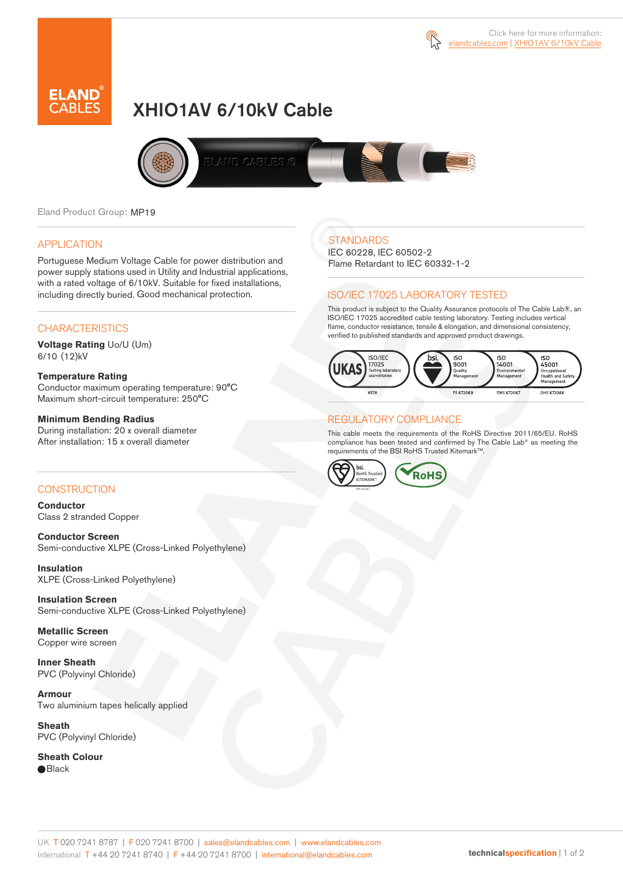

# XHIO1AV 6/10kV Cable



Eland Product Group: MP19

### APPLICATION

Portuguese Medium Voltage Cable for power distribution and power supply stations used in Utility and Industrial applications, with a rated voltage of 6/10kV. Suitable for fixed installations, including directly buried. Good mechanical protection.

### **CHARACTERISTICS**

**Voltage Rating** Uo/U (Um) 6/10 (12)kV

#### **Temperature Rating**

Conductor maximum operating temperature: 90°C Maximum short-circuit temperature: 250°C

#### **Minimum Bending Radius**

During installation: 20 x overall diameter After installation: 15 x overall diameter

### CONSTRUCTION

**Conductor**  Class 2 stranded Copper

**Conductor Screen** Semi-conductive XLPE (Cross-Linked Polyethylene)

**Insulation** XLPE (Cross-Linked Polyethylene)

**Insulation Screen** Semi-conductive XLPE (Cross-Linked Polyethylene)

**Metallic Screen**  Copper wire screen

**Inner Sheath** PVC (Polyvinyl Chloride)

**Armour** Two aluminium tapes helically applied

**Sheath** PVC (Polyvinyl Chloride)

**Sheath Colour**  ● Black

# **STANDARDS**

IEC 60228, IEC 60502-2 Flame Retardant to IEC 60332-1-2

### ISO/IEC 17025 LABORATORY TESTED

This product is subject to the Quality Assurance protocols of The Cable Lab®, an ISO/IEC 17025 accredited cable testing laboratory. Testing includes vertical flame, conductor resistance, tensile & elongation, and dimensional consistency, verified to published standards and approved product drawings.



### REGULATORY COMPLIANCE

This cable meets the requirements of the RoHS Directive 2011/65/EU. RoHS compliance has been tested and confirmed by The Cable Lab® as meeting the requirements of the BSI RoHS Trusted KitemarkTM.